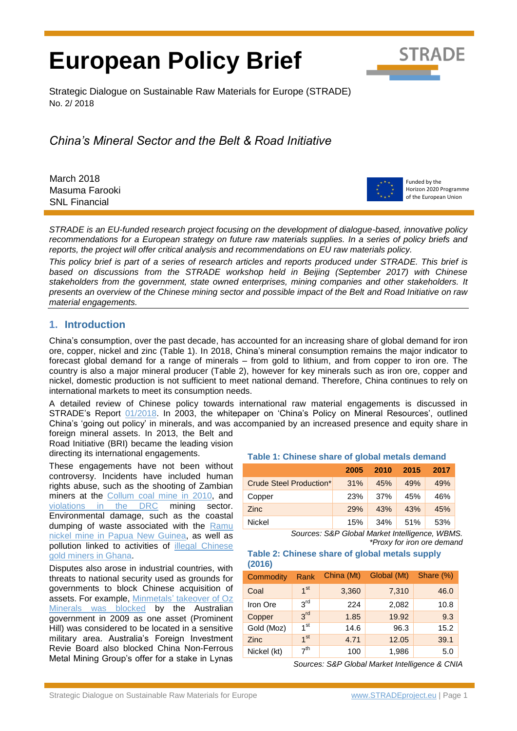# **European Policy Brief**



Strategic Dialogue on Sustainable Raw Materials for Europe (STRADE) No. 2/ 2018

*China's Mineral Sector and the Belt & Road Initiative*

March 2018 Masuma Farooki SNL Financial



Funded by the Horizon 2020 Programme of the European Union

*STRADE is an EU-funded research project focusing on the development of dialogue-based, innovative policy recommendations for a European strategy on future raw materials supplies. In a series of policy briefs and reports, the project will offer critical analysis and recommendations on EU raw materials policy.* 

*This policy brief is part of a series of research articles and reports produced under STRADE. This brief is based on discussions from the STRADE workshop held in Beijing (September 2017) with Chinese stakeholders from the government, state owned enterprises, mining companies and other stakeholders. It presents an overview of the Chinese mining sector and possible impact of the Belt and Road Initiative on raw material engagements.*

# **1. Introduction**

China's consumption, over the past decade, has accounted for an increasing share of global demand for iron ore, copper, nickel and zinc (Table 1). In 2018, China's mineral consumption remains the major indicator to forecast global demand for a range of minerals – from gold to lithium, and from copper to iron ore. The country is also a major mineral producer (Table 2), however for key minerals such as iron ore, copper and nickel, domestic production is not sufficient to meet national demand. Therefore, China continues to rely on international markets to meet its consumption needs.

A detailed review of Chinese policy towards international raw material engagements is discussed in STRADE's Report [01/2018.](http://stradeproject.eu/fileadmin/user_upload/pdf/STRADE_Report_01_2018_Third_Country_Approaches_Min_Dev_Res_Rich.pdf) In 2003, the whitepaper on 'China's Policy on Mineral Resources', outlined China's 'going out policy' in minerals, and was accompanied by an increased presence and equity share in foreign mineral assets. In 2013, the Belt and

Road Initiative (BRI) became the leading vision directing its international engagements.

These engagements have not been without controversy. Incidents have included human rights abuse, such as the shooting of Zambian miners at the [Collum coal mine in 2010,](https://www.newyorker.com/business/currency/china-zambia-and-a-clash-in-a-coal-mine) and [violations in the DRC](https://www.amnesty.org/en/documents/AFR62/001/2013/en/) mining sector. Environmental damage, such as the coastal dumping of waste associated with the [Ramu](http://www.sciencealert.com/decision-nears-on-papua-new-guinea-coastal-mine-waste-dumping)  [nickel mine in Papua New Guinea,](http://www.sciencealert.com/decision-nears-on-papua-new-guinea-coastal-mine-waste-dumping) as well as pollution linked to activities of [illegal Chinese](http://www.mining.com/illegal-chinese-gold-miners-blamed-pollution-violence-ghana/)  [gold miners in Ghana.](http://www.mining.com/illegal-chinese-gold-miners-blamed-pollution-violence-ghana/)

Disputes also arose in industrial countries, with threats to national security used as grounds for governments to block Chinese acquisition of assets. For example, Minmetals' [takeover of Oz](https://www.reuters.com/article/ozminerals-minmetals/update-3-australia-rejects-china-bid-for-oz-minerals-idUSSYD38768920090327)  [Minerals was blocked](https://www.reuters.com/article/ozminerals-minmetals/update-3-australia-rejects-china-bid-for-oz-minerals-idUSSYD38768920090327) by the Australian government in 2009 as one asset (Prominent Hill) was considered to be located in a sensitive military area. Australia's Foreign Investment Revie Board also blocked China Non-Ferrous Metal Mining Group's offer for a stake in Lynas

## **Table 1: Chinese share of global metals demand**

| <b>TWAIS IT SHIRLOOD ONAL OUTSTOWN INDIANO MONTANT</b> |      |      |      |      |  |
|--------------------------------------------------------|------|------|------|------|--|
|                                                        | 2005 | 2010 | 2015 | 2017 |  |
| Crude Steel Production*                                | 31%  | 45%  | 49%  | 49%  |  |
| Copper                                                 | 23%  | 37%  | 45%  | 46%  |  |
| <b>Zinc</b>                                            | 29%  | 43%  | 43%  | 45%  |  |
| Nickel                                                 | 15%  | 34%  | 51%  | 53%  |  |

*Sources: S&P Global Market Intelligence, WBMS. \*Proxy for iron ore demand*

**Table 2: Chinese share of global metals supply (2016)**

| Commodity   | Rank            | China (Mt) | Global (Mt) | Share (%) |
|-------------|-----------------|------------|-------------|-----------|
| Coal        | 1 <sup>st</sup> | 3,360      | 7,310       | 46.0      |
| Iron Ore    | $3^{\text{rd}}$ | 224        | 2,082       | 10.8      |
| Copper      | 3 <sup>rd</sup> | 1.85       | 19.92       | 9.3       |
| Gold (Moz)  | 1 <sup>st</sup> | 14.6       | 96.3        | 15.2      |
| Zinc        | 1 <sup>st</sup> | 4.71       | 12.05       | 39.1      |
| Nickel (kt) | 7 <sup>th</sup> | 100        | 1,986       | 5.0       |

*Sources: S&P Global Market Intelligence & CNIA*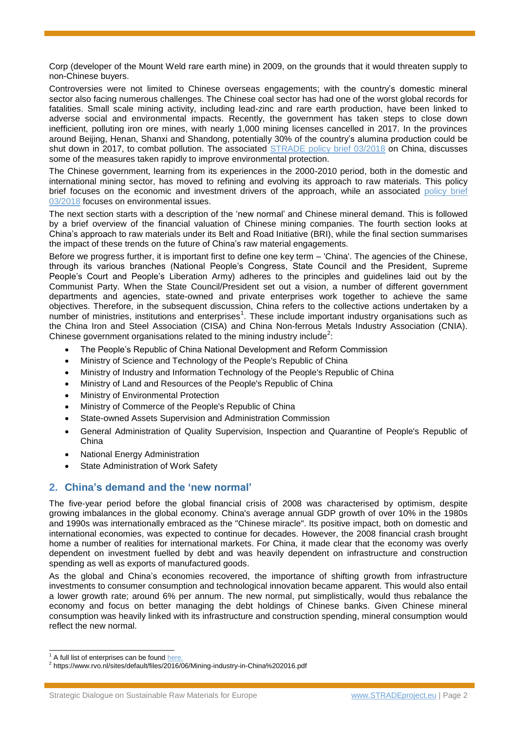Corp (developer of the Mount Weld rare earth mine) in 2009, on the grounds that it would threaten supply to non-Chinese buyers.

Controversies were not limited to Chinese overseas engagements; with the country's domestic mineral sector also facing numerous challenges. The Chinese coal sector has had one of the worst global records for fatalities. Small scale mining activity, including lead-zinc and rare earth production, have been linked to adverse social and environmental impacts. Recently, the government has taken steps to close down inefficient, polluting iron ore mines, with nearly 1,000 mining licenses cancelled in 2017. In the provinces around Beijing, Henan, Shanxi and Shandong, potentially 30% of the country's alumina production could be shut down in 2017, to combat pollution. The associated [STRADE policy brief 03/2018](http://www.stradeproject.eu/fileadmin/user_upload/pdf/STRADE_PB_03_2018_China_responsible_sourcing.pdf) on China, discusses some of the measures taken rapidly to improve environmental protection.

The Chinese government, learning from its experiences in the 2000-2010 period, both in the domestic and international mining sector, has moved to refining and evolving its approach to raw materials. This policy brief focuses on the economic and investment drivers of the approach, while an associated [policy brief](http://www.stradeproject.eu/fileadmin/user_upload/pdf/STRADE_PB_03_2018_China_responsible_sourcing.pdf)  [03/2018](http://www.stradeproject.eu/fileadmin/user_upload/pdf/STRADE_PB_03_2018_China_responsible_sourcing.pdf) focuses on environmental issues.

The next section starts with a description of the 'new normal' and Chinese mineral demand. This is followed by a brief overview of the financial valuation of Chinese mining companies. The fourth section looks at China's approach to raw materials under its Belt and Road Initiative (BRI), while the final section summarises the impact of these trends on the future of China's raw material engagements.

Before we progress further, it is important first to define one key term – 'China'. The agencies of the Chinese, through its various branches (National People's Congress, State Council and the President, Supreme People's Court and People's Liberation Army) adheres to the principles and guidelines laid out by the Communist Party. When the State Council/President set out a vision, a number of different government departments and agencies, state-owned and private enterprises work together to achieve the same objectives. Therefore, in the subsequent discussion, China refers to the collective actions undertaken by a number of ministries, institutions and enterprises<sup>1</sup>. These include important industry organisations such as the China Iron and Steel Association (CISA) and China Non-ferrous Metals Industry Association (CNIA). Chinese government organisations related to the mining industry include<sup>2</sup>:

- The People's Republic of China National Development and Reform Commission
- Ministry of Science and Technology of the People's Republic of China
- Ministry of Industry and Information Technology of the People's Republic of China
- Ministry of Land and Resources of the People's Republic of China
- Ministry of Environmental Protection
- Ministry of Commerce of the People's Republic of China
- State-owned Assets Supervision and Administration Commission
- General Administration of Quality Supervision, Inspection and Quarantine of People's Republic of China
- National Energy Administration
- State Administration of Work Safety

# **2. China's demand and the 'new normal'**

The five-year period before the global financial crisis of 2008 was characterised by optimism, despite growing imbalances in the global economy. China's average annual GDP growth of over 10% in the 1980s and 1990s was internationally embraced as the "Chinese miracle". Its positive impact, both on domestic and international economies, was expected to continue for decades. However, the 2008 financial crash brought home a number of realities for international markets. For China, it made clear that the economy was overly dependent on investment fuelled by debt and was heavily dependent on infrastructure and construction spending as well as exports of manufactured goods.

As the global and China's economies recovered, the importance of shifting growth from infrastructure investments to consumer consumption and technological innovation became apparent. This would also entail a lower growth rate; around 6% per annum. The new normal, put simplistically, would thus rebalance the economy and focus on better managing the debt holdings of Chinese banks. Given Chinese mineral consumption was heavily linked with its infrastructure and construction spending, mineral consumption would reflect the new normal.

<sup>1</sup> A full list of enterprises can be found [here.](https://eng.yidaiyilu.gov.cn/info/iList.jsp?cat_id=10080)

<sup>&</sup>lt;sup>2</sup> https://www.rvo.nl/sites/default/files/2016/06/Mining-industry-in-China%202016.pdf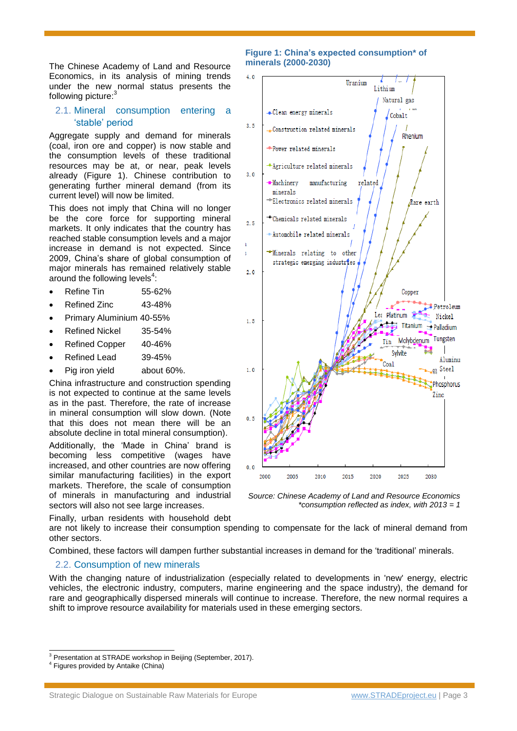The Chinese Academy of Land and Resource Economics, in its analysis of mining trends under the new normal status presents the following picture:<sup>3</sup>

## 2.1. Mineral consumption entering a 'stable' period

Aggregate supply and demand for minerals (coal, iron ore and copper) is now stable and the consumption levels of these traditional resources may be at, or near, peak levels already (Figure 1). Chinese contribution to generating further mineral demand (from its current level) will now be limited.

This does not imply that China will no longer be the core force for supporting mineral markets. It only indicates that the country has reached stable consumption levels and a major increase in demand is not expected. Since 2009, China's share of global consumption of major minerals has remained relatively stable around the following levels $4$ :

- Refine Tin 55-62%
- Refined Zinc 43-48%
- Primary Aluminium 40-55%
- Refined Nickel 35-54%
- Refined Copper 40-46%
- Refined Lead 39-45%
- Pig iron yield about 60%.

China infrastructure and construction spending is not expected to continue at the same levels as in the past. Therefore, the rate of increase in mineral consumption will slow down. (Note that this does not mean there will be an absolute decline in total mineral consumption).

Additionally, the 'Made in China' brand is becoming less competitive (wages have increased, and other countries are now offering similar manufacturing facilities) in the export markets. Therefore, the scale of consumption of minerals in manufacturing and industrial sectors will also not see large increases.

Finally, urban residents with household debt

**Figure 1: China's expected consumption\* of minerals (2000-2030)**



*Source: Chinese Academy of Land and Resource Economics \*consumption reflected as index, with 2013 = 1*

are not likely to increase their consumption spending to compensate for the lack of mineral demand from other sectors.

Combined, these factors will dampen further substantial increases in demand for the 'traditional' minerals.

#### 2.2. Consumption of new minerals

With the changing nature of industrialization (especially related to developments in 'new' energy, electric vehicles, the electronic industry, computers, marine engineering and the space industry), the demand for rare and geographically dispersed minerals will continue to increase. Therefore, the new normal requires a shift to improve resource availability for materials used in these emerging sectors.

-

 $3$  Presentation at STRADE workshop in Beijing (September, 2017).

<sup>4</sup> Figures provided by Antaike (China)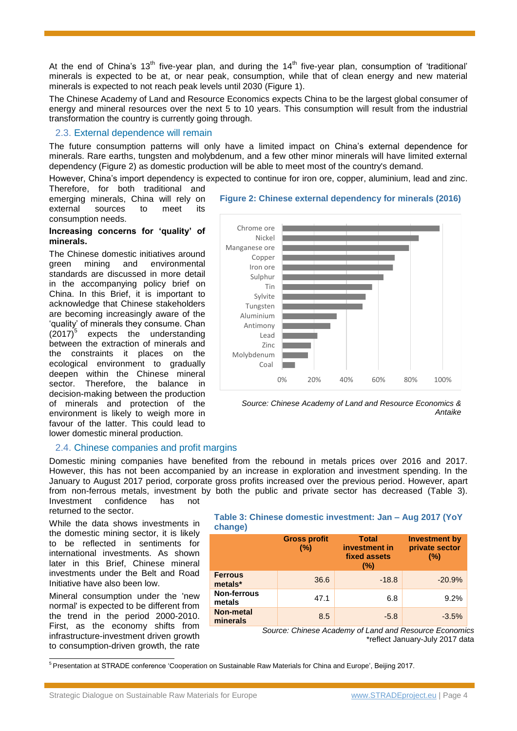At the end of China's 13<sup>th</sup> five-year plan, and during the 14<sup>th</sup> five-year plan, consumption of 'traditional' minerals is expected to be at, or near peak, consumption, while that of clean energy and new material minerals is expected to not reach peak levels until 2030 (Figure 1).

The Chinese Academy of Land and Resource Economics expects China to be the largest global consumer of energy and mineral resources over the next 5 to 10 years. This consumption will result from the industrial transformation the country is currently going through.

## 2.3. External dependence will remain

The future consumption patterns will only have a limited impact on China's external dependence for minerals. Rare earths, tungsten and molybdenum, and a few other minor minerals will have limited external dependency (Figure 2) as domestic production will be able to meet most of the country's demand.

However, China's import dependency is expected to continue for iron ore, copper, aluminium, lead and zinc.

Therefore, for both traditional and emerging minerals, China will rely on external sources to meet its consumption needs.

#### **Increasing concerns for 'quality' of minerals.**

The Chinese domestic initiatives around<br>
oreen mining and environmental green mining and environmental standards are discussed in more detail in the accompanying policy brief on China. In this Brief, it is important to acknowledge that Chinese stakeholders are becoming increasingly aware of the 'quality' of minerals they consume. Chan  $(2017)^5$ expects the understanding between the extraction of minerals and the constraints it places on the ecological environment to gradually deepen within the Chinese mineral sector. Therefore, the balance in decision-making between the production of minerals and protection of the environment is likely to weigh more in favour of the latter. This could lead to lower domestic mineral production.

# **Figure 2: Chinese external dependency for minerals (2016)**



*Source: Chinese Academy of Land and Resource Economics & Antaike*

## 2.4. Chinese companies and profit margins

Domestic mining companies have benefited from the rebound in metals prices over 2016 and 2017. However, this has not been accompanied by an increase in exploration and investment spending. In the January to August 2017 period, corporate gross profits increased over the previous period. However, apart from non-ferrous metals, investment by both the public and private sector has decreased (Table 3). Investment confidence has not

returned to the sector.

While the data shows investments in the domestic mining sector, it is likely to be reflected in sentiments for international investments. As shown later in this Brief, Chinese mineral investments under the Belt and Road Initiative have also been low.

Mineral consumption under the 'new normal' is expected to be different from the trend in the period 2000-2010. First, as the economy shifts from infrastructure-investment driven growth to consumption-driven growth, the rate

#### **Table 3: Chinese domestic investment: Jan – Aug 2017 (YoY change)**

|                              | <b>Gross profit</b><br>(%) | <b>Total</b><br>investment in<br>fixed assets<br>(%) | <b>Investment by</b><br>private sector<br>(%) |
|------------------------------|----------------------------|------------------------------------------------------|-----------------------------------------------|
| <b>Ferrous</b><br>metals*    | 36.6                       | $-18.8$                                              | $-20.9%$                                      |
| <b>Non-ferrous</b><br>metals | 47.1                       | 6.8                                                  | 9.2%                                          |
| <b>Non-metal</b><br>minerals | 8.5                        | $-5.8$                                               | $-3.5%$                                       |

*Source: Chinese Academy of Land and Resource Economics* \*reflect January-July 2017 data

 $\overline{a}$ <sup>5</sup> Presentation at STRADE conference 'Cooperation on Sustainable Raw Materials for China and Europe', Beijing 2017.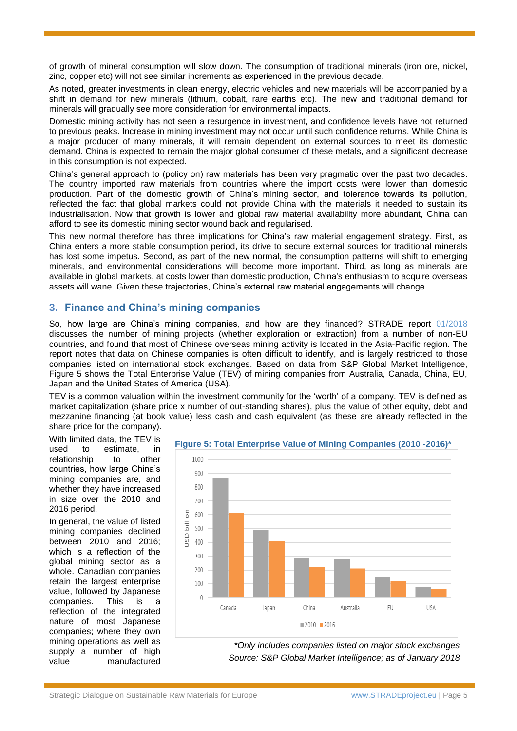of growth of mineral consumption will slow down. The consumption of traditional minerals (iron ore, nickel, zinc, copper etc) will not see similar increments as experienced in the previous decade.

As noted, greater investments in clean energy, electric vehicles and new materials will be accompanied by a shift in demand for new minerals (lithium, cobalt, rare earths etc). The new and traditional demand for minerals will gradually see more consideration for environmental impacts.

Domestic mining activity has not seen a resurgence in investment, and confidence levels have not returned to previous peaks. Increase in mining investment may not occur until such confidence returns. While China is a major producer of many minerals, it will remain dependent on external sources to meet its domestic demand. China is expected to remain the major global consumer of these metals, and a significant decrease in this consumption is not expected.

China's general approach to (policy on) raw materials has been very pragmatic over the past two decades. The country imported raw materials from countries where the import costs were lower than domestic production. Part of the domestic growth of China's mining sector, and tolerance towards its pollution, reflected the fact that global markets could not provide China with the materials it needed to sustain its industrialisation. Now that growth is lower and global raw material availability more abundant, China can afford to see its domestic mining sector wound back and regularised.

This new normal therefore has three implications for China's raw material engagement strategy. First, as China enters a more stable consumption period, its drive to secure external sources for traditional minerals has lost some impetus. Second, as part of the new normal, the consumption patterns will shift to emerging minerals, and environmental considerations will become more important. Third, as long as minerals are available in global markets, at costs lower than domestic production, China's enthusiasm to acquire overseas assets will wane. Given these trajectories, China's external raw material engagements will change.

# **3. Finance and China's mining companies**

So, how large are China's mining companies, and how are they financed? STRADE report [01/2018](http://stradeproject.eu/fileadmin/user_upload/pdf/STRADE_Report_01_2018_Third_Country_Approaches_Min_Dev_Res_Rich.pdf) discusses the number of mining projects (whether exploration or extraction) from a number of non-EU countries, and found that most of Chinese overseas mining activity is located in the Asia-Pacific region. The report notes that data on Chinese companies is often difficult to identify, and is largely restricted to those companies listed on international stock exchanges. Based on data from S&P Global Market Intelligence, Figure 5 shows the Total Enterprise Value (TEV) of mining companies from Australia, Canada, China, EU, Japan and the United States of America (USA).

TEV is a common valuation within the investment community for the 'worth' of a company. TEV is defined as market capitalization (share price x number of out-standing shares), plus the value of other equity, debt and mezzanine financing (at book value) less cash and cash equivalent (as these are already reflected in the share price for the company).

With limited data, the TEV is used to estimate, in relationship to other countries, how large China's mining companies are, and whether they have increased in size over the 2010 and 2016 period.

In general, the value of listed mining companies declined between 2010 and 2016; which is a reflection of the global mining sector as a whole. Canadian companies retain the largest enterprise value, followed by Japanese companies. This is a reflection of the integrated nature of most Japanese companies; where they own mining operations as well as supply a number of high value manufactured



**Figure 5: Total Enterprise Value of Mining Companies (2010 -2016)\***

*\*Only includes companies listed on major stock exchanges Source: S&P Global Market Intelligence; as of January 2018*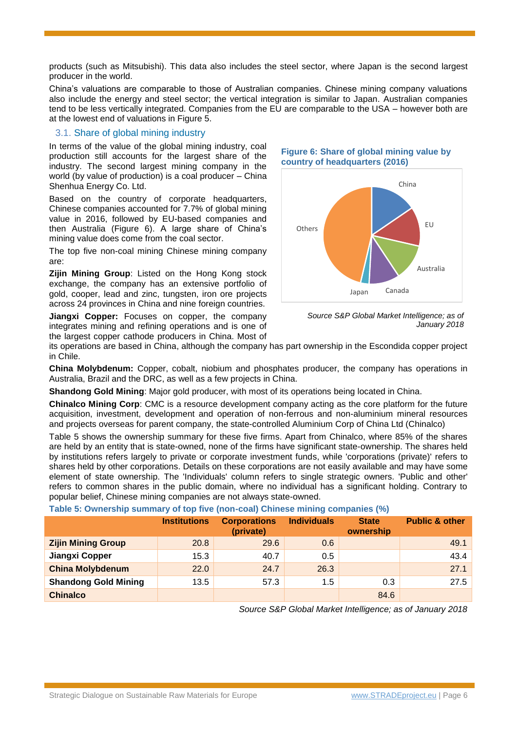products (such as Mitsubishi). This data also includes the steel sector, where Japan is the second largest producer in the world.

China's valuations are comparable to those of Australian companies. Chinese mining company valuations also include the energy and steel sector; the vertical integration is similar to Japan. Australian companies tend to be less vertically integrated. Companies from the EU are comparable to the USA – however both are at the lowest end of valuations in Figure 5.

## 3.1. Share of global mining industry

In terms of the value of the global mining industry, coal production still accounts for the largest share of the industry. The second largest mining company in the world (by value of production) is a coal producer – China Shenhua Energy Co. Ltd.

Based on the country of corporate headquarters, Chinese companies accounted for 7.7% of global mining value in 2016, followed by EU-based companies and then Australia (Figure 6). A large share of China's mining value does come from the coal sector.

The top five non-coal mining Chinese mining company are:

**Zijin Mining Group**: Listed on the Hong Kong stock exchange, the company has an extensive portfolio of gold, cooper, lead and zinc, tungsten, iron ore projects across 24 provinces in China and nine foreign countries.

**Jiangxi Copper:** Focuses on copper, the company integrates mining and refining operations and is one of the largest copper cathode producers in China. Most of

![](_page_5_Figure_8.jpeg)

![](_page_5_Figure_9.jpeg)

*Source S&P Global Market Intelligence; as of January 2018*

its operations are based in China, although the company has part ownership in the Escondida copper project in Chile.

**China Molybdenum:** Copper, cobalt, niobium and phosphates producer, the company has operations in Australia, Brazil and the DRC, as well as a few projects in China.

**Shandong Gold Mining**: Major gold producer, with most of its operations being located in China.

**Chinalco Mining Corp**: CMC is a resource development company acting as the core platform for the future acquisition, investment, development and operation of non-ferrous and non-aluminium mineral resources and projects overseas for parent company, the state-controlled Aluminium Corp of China Ltd (Chinalco)

Table 5 shows the ownership summary for these five firms. Apart from Chinalco, where 85% of the shares are held by an entity that is state-owned, none of the firms have significant state-ownership. The shares held by institutions refers largely to private or corporate investment funds, while 'corporations (private)' refers to shares held by other corporations. Details on these corporations are not easily available and may have some element of state ownership. The 'Individuals' column refers to single strategic owners. 'Public and other' refers to common shares in the public domain, where no individual has a significant holding. Contrary to popular belief, Chinese mining companies are not always state-owned.

#### **Table 5: Ownership summary of top five (non-coal) Chinese mining companies (%)**

|                             | <b>Institutions</b> | <b>Corporations</b> | <b>Individuals</b> | <b>State</b> | <b>Public &amp; other</b> |
|-----------------------------|---------------------|---------------------|--------------------|--------------|---------------------------|
|                             |                     | (private)           |                    | ownership    |                           |
| <b>Zijin Mining Group</b>   | 20.8                | 29.6                | 0.6                |              | 49.1                      |
| Jiangxi Copper              | 15.3                | 40.7                | 0.5                |              | 43.4                      |
| <b>China Molybdenum</b>     | 22.0                | 24.7                | 26.3               |              | 27.1                      |
| <b>Shandong Gold Mining</b> | 13.5                | 57.3                | 1.5                | 0.3          | 27.5                      |
| <b>Chinalco</b>             |                     |                     |                    | 84.6         |                           |

*Source S&P Global Market Intelligence; as of January 2018*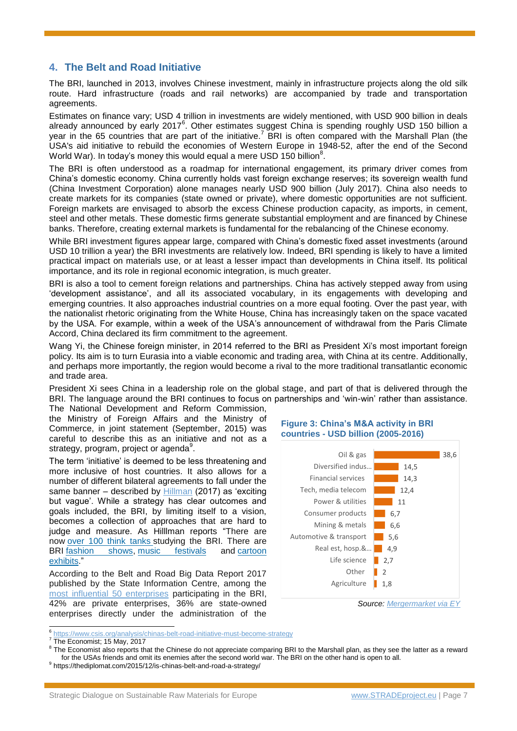# **4. The Belt and Road Initiative**

The BRI, launched in 2013, involves Chinese investment, mainly in infrastructure projects along the old silk route. Hard infrastructure (roads and rail networks) are accompanied by trade and transportation agreements.

Estimates on finance vary; USD 4 trillion in investments are widely mentioned, with USD 900 billion in deals already announced by early 2017 $^6$ . Other estimates suggest China is spending roughly USD 150 billion a year in the 65 countries that are part of the initiative.<sup>7</sup> BRI is often compared with the Marshall Plan (the USA's aid initiative to rebuild the economies of Western Europe in 1948-52, after the end of the Second World War). In today's money this would equal a mere USD 150 billion $^8$ .

The BRI is often understood as a roadmap for international engagement, its primary driver comes from China's domestic economy. China currently holds vast foreign exchange reserves; its sovereign wealth fund (China Investment Corporation) alone manages nearly USD 900 billion (July 2017). China also needs to create markets for its companies (state owned or private), where domestic opportunities are not sufficient. Foreign markets are envisaged to absorb the excess Chinese production capacity, as imports, in cement, steel and other metals. These domestic firms generate substantial employment and are financed by Chinese banks. Therefore, creating external markets is fundamental for the rebalancing of the Chinese economy.

While BRI investment figures appear large, compared with China's domestic fixed asset investments (around USD 10 trillion a year) the BRI investments are relatively low. Indeed, BRI spending is likely to have a limited practical impact on materials use, or at least a lesser impact than developments in China itself. Its political importance, and its role in regional economic integration, is much greater.

BRI is also a tool to cement foreign relations and partnerships. China has actively stepped away from using 'development assistance', and all its associated vocabulary, in its engagements with developing and emerging countries. It also approaches industrial countries on a more equal footing. Over the past year, with the nationalist rhetoric originating from the White House, China has increasingly taken on the space vacated by the USA. For example, within a week of the USA's announcement of withdrawal from the Paris Climate Accord, China declared its firm commitment to the agreement.

Wang Yi, the Chinese foreign minister, in 2014 referred to the BRI as President Xi's most important foreign policy. Its aim is to turn Eurasia into a viable economic and trading area, with China at its centre. Additionally, and perhaps more importantly, the region would become a rival to the more traditional transatlantic economic and trade area.

President Xi sees China in a leadership role on the global stage, and part of that is delivered through the BRI. The language around the BRI continues to focus on partnerships and 'win-win' rather than assistance.

The National Development and Reform Commission, the Ministry of Foreign Affairs and the Ministry of Commerce, in joint statement (September, 2015) was careful to describe this as an initiative and not as a strategy, program, project or agenda $^9$ .

The term 'initiative' is deemed to be less threatening and more inclusive of host countries. It also allows for a number of different bilateral agreements to fall under the same banner – described by [Hillman](https://www.csis.org/analysis/chinas-belt-road-initiative-must-become-strategy) (2017) as 'exciting but vague'. While a strategy has clear outcomes and goals included, the BRI, by limiting itself to a vision, becomes a collection of approaches that are hard to judge and measure. As Hilllman reports "There are now [over 100 think tanks](http://news.xinhuanet.com/english/2016-03/02/c_135147967.htm) studying the BRI. There are BRI [fashion shows,](http://belt.china.org.cn/2017-03/27/content_40504580.htm) [music festivals](http://www.eyeshenzhen.com/node_231577.htm) and [cartoon](http://news.xinhuanet.com/english/2017-02/27/c_136086586.htm)  [exhibits.](http://news.xinhuanet.com/english/2017-02/27/c_136086586.htm)"

According to the Belt and Road Big Data Report 2017 published by the State Information Centre, among the [most influential 50 enterprises](https://eng.yidaiyilu.gov.cn/jcsj/dsjkydyl/36154.htm) participating in the BRI, 42% are private enterprises, 36% are state-owned enterprises directly under the administration of the

![](_page_6_Figure_11.jpeg)

![](_page_6_Figure_12.jpeg)

*Source[: Mergermarket via EY](https://www.statista.com/chart/12283/where-chinas-belt-and-road-priorities-lie/)*

 $\overline{a}$ 

<sup>6</sup> <https://www.csis.org/analysis/chinas-belt-road-initiative-must-become-strategy>

<sup>&</sup>lt;sup>7</sup> The Economist; 15 May, 2017

 $8$  The Economist also reports that the Chinese do not appreciate comparing BRI to the Marshall plan, as they see the latter as a reward for the USAs friends and omit its enemies after the second world war. The BRI on the other hand is open to all.

<sup>&</sup>lt;sup>9</sup> https://thediplomat.com/2015/12/is-chinas-belt-and-road-a-strategy/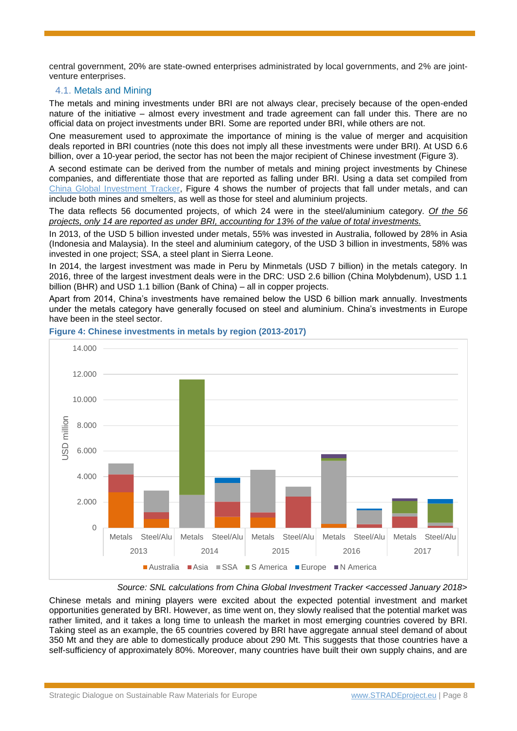central government, 20% are state-owned enterprises administrated by local governments, and 2% are jointventure enterprises.

## 4.1. Metals and Mining

The metals and mining investments under BRI are not always clear, precisely because of the open-ended nature of the initiative – almost every investment and trade agreement can fall under this. There are no official data on project investments under BRI. Some are reported under BRI, while others are not.

One measurement used to approximate the importance of mining is the value of merger and acquisition deals reported in BRI countries (note this does not imply all these investments were under BRI). At USD 6.6 billion, over a 10-year period, the sector has not been the major recipient of Chinese investment (Figure 3).

A second estimate can be derived from the number of metals and mining project investments by Chinese companies, and differentiate those that are reported as falling under BRI. Using a data set compiled from [China Global Investment Tracker,](http://www.aei.org/china-global-investment-tracker/) Figure 4 shows the number of projects that fall under metals, and can include both mines and smelters, as well as those for steel and aluminium projects.

The data reflects 56 documented projects, of which 24 were in the steel/aluminium category. *Of the 56 projects, only 14 are reported as under BRI, accounting for 13% of the value of total investments.* 

In 2013, of the USD 5 billion invested under metals, 55% was invested in Australia, followed by 28% in Asia (Indonesia and Malaysia). In the steel and aluminium category, of the USD 3 billion in investments, 58% was invested in one project; SSA, a steel plant in Sierra Leone.

In 2014, the largest investment was made in Peru by Minmetals (USD 7 billion) in the metals category. In 2016, three of the largest investment deals were in the DRC: USD 2.6 billion (China Molybdenum), USD 1.1 billion (BHR) and USD 1.1 billion (Bank of China) – all in copper projects.

Apart from 2014, China's investments have remained below the USD 6 billion mark annually. Investments under the metals category have generally focused on steel and aluminium. China's investments in Europe have been in the steel sector.

![](_page_7_Figure_9.jpeg)

## **Figure 4: Chinese investments in metals by region (2013-2017)**

*Source: SNL calculations from China Global Investment Tracker <accessed January 2018>*

Chinese metals and mining players were excited about the expected potential investment and market opportunities generated by BRI. However, as time went on, they slowly realised that the potential market was rather limited, and it takes a long time to unleash the market in most emerging countries covered by BRI. Taking steel as an example, the 65 countries covered by BRI have aggregate annual steel demand of about 350 Mt and they are able to domestically produce about 290 Mt. This suggests that those countries have a self-sufficiency of approximately 80%. Moreover, many countries have built their own supply chains, and are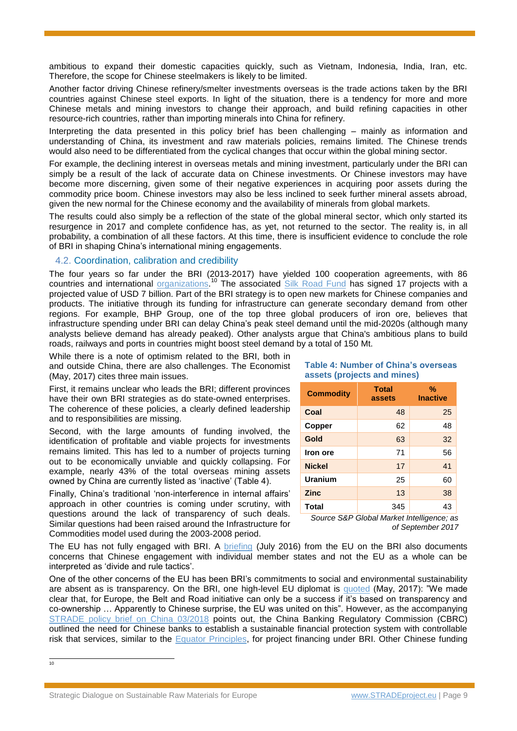ambitious to expand their domestic capacities quickly, such as Vietnam, Indonesia, India, Iran, etc. Therefore, the scope for Chinese steelmakers is likely to be limited.

Another factor driving Chinese refinery/smelter investments overseas is the trade actions taken by the BRI countries against Chinese steel exports. In light of the situation, there is a tendency for more and more Chinese metals and mining investors to change their approach, and build refining capacities in other resource-rich countries, rather than importing minerals into China for refinery.

Interpreting the data presented in this policy brief has been challenging – mainly as information and understanding of China, its investment and raw materials policies, remains limited. The Chinese trends would also need to be differentiated from the cyclical changes that occur within the global mining sector.

For example, the declining interest in overseas metals and mining investment, particularly under the BRI can simply be a result of the lack of accurate data on Chinese investments. Or Chinese investors may have become more discerning, given some of their negative experiences in acquiring poor assets during the commodity price boom. Chinese investors may also be less inclined to seek further mineral assets abroad, given the new normal for the Chinese economy and the availability of minerals from global markets.

The results could also simply be a reflection of the state of the global mineral sector, which only started its resurgence in 2017 and complete confidence has, as yet, not returned to the sector. The reality is, in all probability, a combination of all these factors. At this time, there is insufficient evidence to conclude the role of BRI in shaping China's international mining engagements.

## 4.2. Coordination, calibration and credibility

The four years so far under the BRI (2013-2017) have yielded 100 cooperation agreements, with 86 countries and international **organizations.<sup>10</sup>** The associated [Silk Road Fund](http://www.silkroadfund.com.cn/enweb/23773/index.html) has signed 17 projects with a projected value of USD 7 billion. Part of the BRI strategy is to open new markets for Chinese companies and products. The initiative through its funding for infrastructure can generate secondary demand from other regions. For example, BHP Group, one of the top three global producers of iron ore, believes that infrastructure spending under BRI can delay China's peak steel demand until the mid-2020s (although many analysts believe demand has already peaked). Other analysts argue that China's ambitious plans to build roads, railways and ports in countries might boost steel demand by a total of 150 Mt.

While there is a note of optimism related to the BRI, both in and outside China, there are also challenges. The Economist (May, 2017) cites three main issues.

First, it remains unclear who leads the BRI; different provinces have their own BRI strategies as do state-owned enterprises. The coherence of these policies, a clearly defined leadership and to responsibilities are missing.

Second, with the large amounts of funding involved, the identification of profitable and viable projects for investments remains limited. This has led to a number of projects turning out to be economically unviable and quickly collapsing. For example, nearly 43% of the total overseas mining assets owned by China are currently listed as 'inactive' (Table 4).

Finally, China's traditional 'non-interference in internal affairs' approach in other countries is coming under scrutiny, with questions around the lack of transparency of such deals. Similar questions had been raised around the Infrastructure for Commodities model used during the 2003-2008 period.

#### **Table 4: Number of China's overseas assets (projects and mines)**

| <b>Commodity</b> | <b>Total</b><br>assets | $\%$<br><b>Inactive</b> |  |
|------------------|------------------------|-------------------------|--|
| Coal             | 48                     | 25                      |  |
| Copper           | 62                     | 48                      |  |
| Gold             | 63                     | 32                      |  |
| Iron ore         | 71                     | 56                      |  |
| <b>Nickel</b>    | 17                     | 41                      |  |
| Uranium          | 25                     | 60                      |  |
| <b>Zinc</b>      | 13                     | 38                      |  |
| <b>Total</b>     | 345                    | 43                      |  |

*Source S&P Global Market Intelligence; as of September 2017*

The EU has not fully engaged with BRI. A [briefing](http://www.europarl.europa.eu/RegData/etudes/BRIE/2016/586608/EPRS_BRI(2016)586608_EN.pdf) (July 2016) from the EU on the BRI also documents concerns that Chinese engagement with individual member states and not the EU as a whole can be interpreted as 'divide and rule tactics'.

One of the other concerns of the EU has been BRI's commitments to social and environmental sustainability are absent as is transparency. On the BRI, one high-level EU diplomat is [quoted](https://www.theguardian.com/world/2017/may/15/eu-china-summit-bejing-xi-jinping-belt-and-road) (May, 2017): "We made clear that, for Europe, the Belt and Road initiative can only be a success if it's based on transparency and co-ownership … Apparently to Chinese surprise, the EU was united on this". However, as the accompanying [STRADE policy brief on China 03/2018](http://www.stradeproject.eu/fileadmin/user_upload/pdf/STRADE_PB_03_2018_China_responsible_sourcing.pdf) points out, the China Banking Regulatory Commission (CBRC) outlined the need for Chinese banks to establish a sustainable financial protection system with controllable risk that services, similar to the [Equator Principles,](http://www.equator-principles.com/) for project financing under BRI. Other Chinese funding

 $\frac{1}{10}$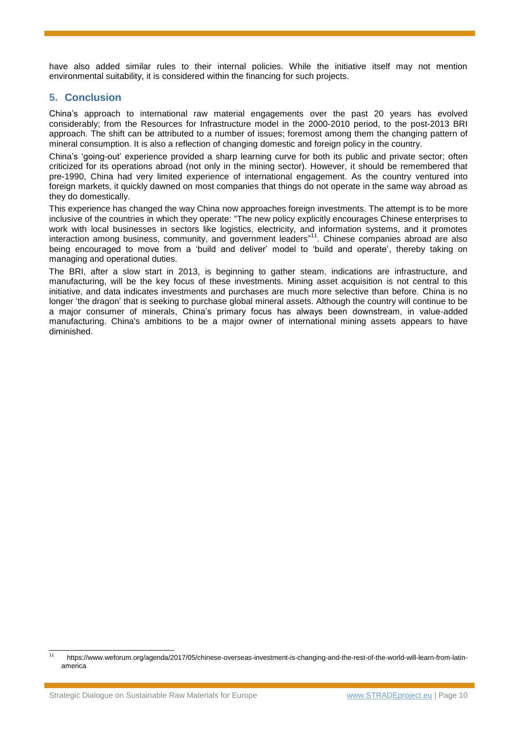have also added similar rules to their internal policies. While the initiative itself may not mention environmental suitability, it is considered within the financing for such projects.

# **5. Conclusion**

China's approach to international raw material engagements over the past 20 years has evolved considerably; from the Resources for Infrastructure model in the 2000-2010 period, to the post-2013 BRI approach. The shift can be attributed to a number of issues; foremost among them the changing pattern of mineral consumption. It is also a reflection of changing domestic and foreign policy in the country.

China's 'going-out' experience provided a sharp learning curve for both its public and private sector; often criticized for its operations abroad (not only in the mining sector). However, it should be remembered that pre-1990, China had very limited experience of international engagement. As the country ventured into foreign markets, it quickly dawned on most companies that things do not operate in the same way abroad as they do domestically.

This experience has changed the way China now approaches foreign investments. The attempt is to be more inclusive of the countries in which they operate: "The new policy explicitly encourages Chinese enterprises to work with local businesses in sectors like logistics, electricity, and information systems, and it promotes interaction among business, community, and government leaders" <sup>11</sup>. Chinese companies abroad are also being encouraged to move from a 'build and deliver' model to 'build and operate', thereby taking on managing and operational duties.

The BRI, after a slow start in 2013, is beginning to gather steam, indications are infrastructure, and manufacturing, will be the key focus of these investments. Mining asset acquisition is not central to this initiative, and data indicates investments and purchases are much more selective than before. China is no longer 'the dragon' that is seeking to purchase global mineral assets. Although the country will continue to be a major consumer of minerals, China's primary focus has always been downstream, in value-added manufacturing. China's ambitions to be a major owner of international mining assets appears to have diminished.

 $11$ <sup>11</sup> https://www.weforum.org/agenda/2017/05/chinese-overseas-investment-is-changing-and-the-rest-of-the-world-will-learn-from-latinamerica